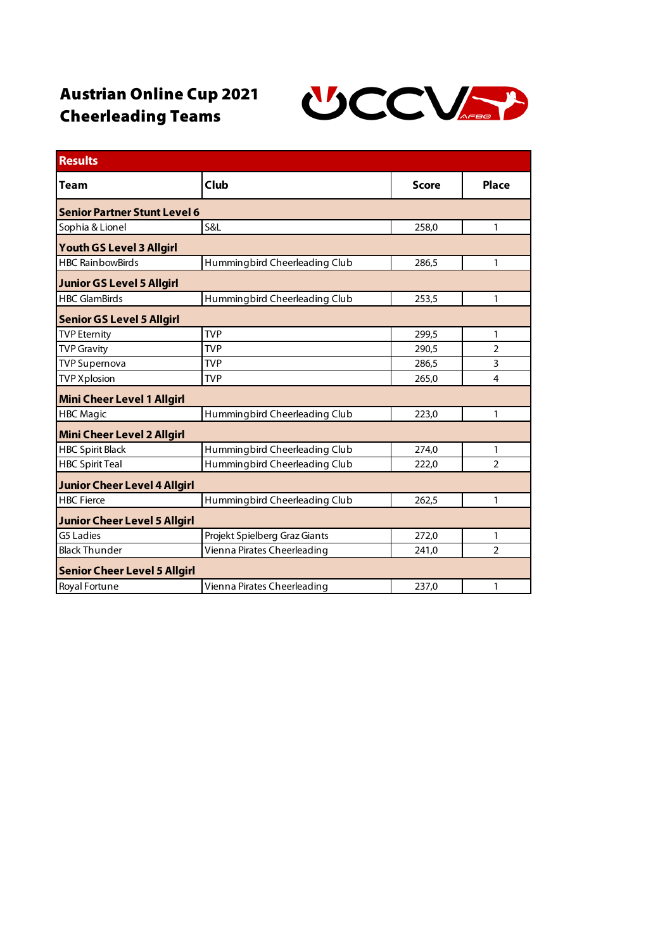## Austrian Online Cup 2021 Cheerleading Teams



| <b>Results</b>                      |                               |              |                |  |
|-------------------------------------|-------------------------------|--------------|----------------|--|
| <b>Team</b>                         | Club                          | <b>Score</b> | <b>Place</b>   |  |
| <b>Senior Partner Stunt Level 6</b> |                               |              |                |  |
| Sophia & Lionel                     | S&L                           | 258,0        | 1              |  |
| <b>Youth GS Level 3 Allgirl</b>     |                               |              |                |  |
| <b>HBC RainbowBirds</b>             | Hummingbird Cheerleading Club | 286.5        | 1              |  |
| <b>Junior GS Level 5 Allgirl</b>    |                               |              |                |  |
| <b>HBC GlamBirds</b>                | Hummingbird Cheerleading Club | 253,5        | 1              |  |
| <b>Senior GS Level 5 Allgirl</b>    |                               |              |                |  |
| <b>TVP Eternity</b>                 | <b>TVP</b>                    | 299,5        | 1              |  |
| <b>TVP Gravity</b>                  | <b>TVP</b>                    | 290,5        | $\overline{2}$ |  |
| <b>TVP Supernova</b>                | <b>TVP</b>                    | 286,5        | 3              |  |
| <b>TVP Xplosion</b>                 | <b>TVP</b>                    | 265,0        | 4              |  |
| <b>Mini Cheer Level 1 Allgirl</b>   |                               |              |                |  |
| <b>HBC Magic</b>                    | Hummingbird Cheerleading Club | 223,0        | 1              |  |
| <b>Mini Cheer Level 2 Allgirl</b>   |                               |              |                |  |
| <b>HBC Spirit Black</b>             | Hummingbird Cheerleading Club | 274,0        | 1              |  |
| <b>HBC Spirit Teal</b>              | Hummingbird Cheerleading Club | 222,0        | $\overline{2}$ |  |
| <b>Junior Cheer Level 4 Allgirl</b> |                               |              |                |  |
| <b>HBC Fierce</b>                   | Hummingbird Cheerleading Club | 262,5        | 1              |  |
| <b>Junior Cheer Level 5 Allgirl</b> |                               |              |                |  |
| G5 Ladies                           | Projekt Spielberg Graz Giants | 272,0        | 1              |  |
| <b>Black Thunder</b>                | Vienna Pirates Cheerleading   | 241,0        | $\overline{2}$ |  |
| <b>Senior Cheer Level 5 Allgirl</b> |                               |              |                |  |
| Royal Fortune                       | Vienna Pirates Cheerleading   | 237,0        | 1              |  |